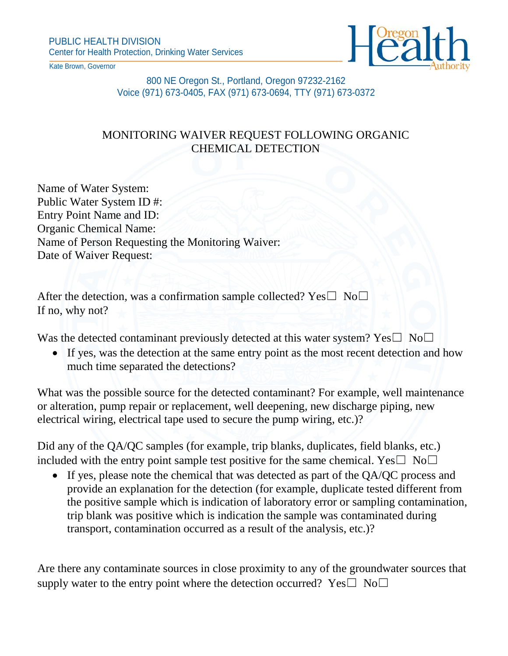

Kate Brown, Governor

800 NE Oregon St., Portland, Oregon 97232-2162 Voice (971) 673-0405, FAX (971) 673-0694, TTY (971) 673-0372

## MONITORING WAIVER REQUEST FOLLOWING ORGANIC CHEMICAL DETECTION

Name of Water System: Public Water System ID #: Entry Point Name and ID: Organic Chemical Name: Name of Person Requesting the Monitoring Waiver: Date of Waiver Request:

After the detection, was a confirmation sample collected? Yes $\square$  No $\square$ If no, why not?

Was the detected contaminant previously detected at this water system? Yes $\square$  No $\square$ 

• If yes, was the detection at the same entry point as the most recent detection and how much time separated the detections?

What was the possible source for the detected contaminant? For example, well maintenance or alteration, pump repair or replacement, well deepening, new discharge piping, new electrical wiring, electrical tape used to secure the pump wiring, etc.)?

Did any of the QA/QC samples (for example, trip blanks, duplicates, field blanks, etc.) included with the entry point sample test positive for the same chemical. Yes $\square$  No $\square$ 

• If yes, please note the chemical that was detected as part of the OA/OC process and provide an explanation for the detection (for example, duplicate tested different from the positive sample which is indication of laboratory error or sampling contamination, trip blank was positive which is indication the sample was contaminated during transport, contamination occurred as a result of the analysis, etc.)?

Are there any contaminate sources in close proximity to any of the groundwater sources that supply water to the entry point where the detection occurred? Yes $\square$  No $\square$